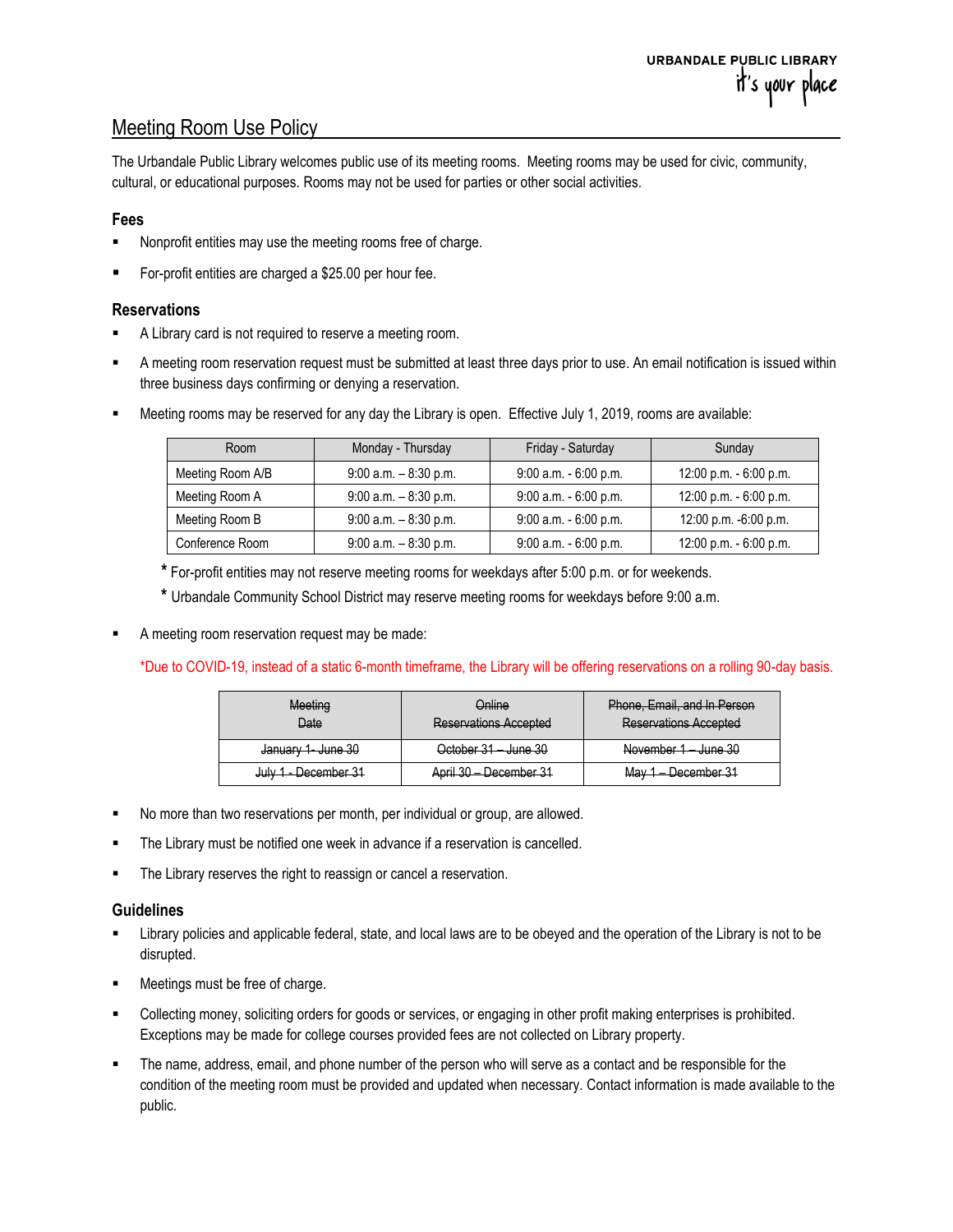# Meeting Room Use Policy

The Urbandale Public Library welcomes public use of its meeting rooms. Meeting rooms may be used for civic, community, cultural, or educational purposes. Rooms may not be used for parties or other social activities.

## **Fees**

- Nonprofit entities may use the meeting rooms free of charge.
- For-profit entities are charged a \$25.00 per hour fee.

### **Reservations**

- A Library card is not required to reserve a meeting room.
- A meeting room reservation request must be submitted at least three days prior to use. An email notification is issued within three business days confirming or denying a reservation.
- Meeting rooms may be reserved for any day the Library is open. Effective July 1, 2019, rooms are available:

| Room             | Monday - Thursday        | Friday - Saturday        | Sunday                 |
|------------------|--------------------------|--------------------------|------------------------|
| Meeting Room A/B | $9:00$ a.m. $-8:30$ p.m. | $9:00$ a.m. $-6:00$ p.m. | 12:00 p.m. - 6:00 p.m. |
| Meeting Room A   | $9:00$ a.m. $-8:30$ p.m. | 9:00 a.m. - 6:00 p.m.    | 12:00 p.m. - 6:00 p.m. |
| Meeting Room B   | $9:00$ a.m. $-8:30$ p.m. | $9:00$ a.m. $-6:00$ p.m. | 12:00 p.m. -6:00 p.m.  |
| Conference Room  | $9:00$ a.m. $-8:30$ p.m. | $9:00$ a.m. $-6:00$ p.m. | 12:00 p.m. - 6:00 p.m. |

**\*** For-profit entities may not reserve meeting rooms for weekdays after 5:00 p.m. or for weekends.

**\*** Urbandale Community School District may reserve meeting rooms for weekdays before 9:00 a.m.

A meeting room reservation request may be made:

### \*Due to COVID-19, instead of a static 6-month timeframe, the Library will be offering reservations on a rolling 90-day basis.

| Meeting<br><del>Date</del>   | Online<br><b>Reservations Accepted</b> | Phone, Email, and In Person<br><b>Reservations Accepted</b> |
|------------------------------|----------------------------------------|-------------------------------------------------------------|
| <del>January 1 June 30</del> | October 31 June 30                     | 20 مەيىل<br>November 1<br><del>vunc ou</del>                |
| July 1 - December 31         | April 30 - December 31                 | . Nacamhar 31<br><u>May 1 —</u><br><del>דט וסעוווסטטע</del> |

- No more than two reservations per month, per individual or group, are allowed.
- The Library must be notified one week in advance if a reservation is cancelled.
- The Library reserves the right to reassign or cancel a reservation.

### **Guidelines**

- Library policies and applicable federal, state, and local laws are to be obeyed and the operation of the Library is not to be disrupted.
- Meetings must be free of charge.
- Collecting money, soliciting orders for goods or services, or engaging in other profit making enterprises is prohibited. Exceptions may be made for college courses provided fees are not collected on Library property.
- The name, address, email, and phone number of the person who will serve as a contact and be responsible for the condition of the meeting room must be provided and updated when necessary. Contact information is made available to the public.